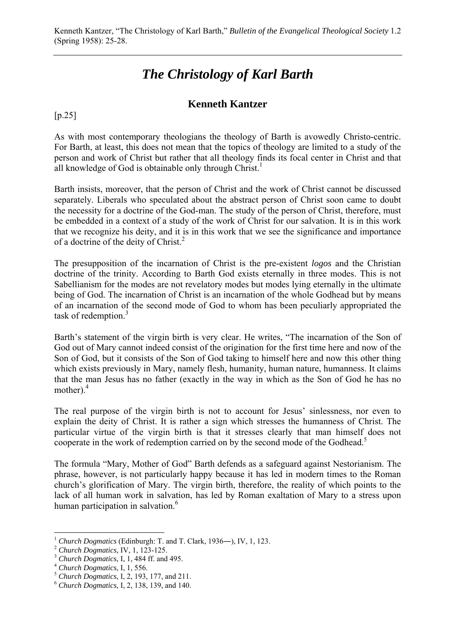## *The Christology of Karl Barth*

## **Kenneth Kantzer**

## $[p.25]$

As with most contemporary theologians the theology of Barth is avowedly Christo-centric. For Barth, at least, this does not mean that the topics of theology are limited to a study of the person and work of Christ but rather that all theology finds its focal center in Christ and that all knowledge of God is obtainable only through Christ.<sup>1</sup>

Barth insists, moreover, that the person of Christ and the work of Christ cannot be discussed separately. Liberals who speculated about the abstract person of Christ soon came to doubt the necessity for a doctrine of the God-man. The study of the person of Christ, therefore, must be embedded in a context of a study of the work of Christ for our salvation. It is in this work that we recognize his deity, and it is in this work that we see the significance and importance of a doctrine of the deity of Christ.<sup>2</sup>

The presupposition of the incarnation of Christ is the pre-existent *logos* and the Christian doctrine of the trinity. According to Barth God exists eternally in three modes. This is not Sabellianism for the modes are not revelatory modes but modes lying eternally in the ultimate being of God. The incarnation of Christ is an incarnation of the whole Godhead but by means of an incarnation of the second mode of God to whom has been peculiarly appropriated the task of redemption.<sup>3</sup>

Barth's statement of the virgin birth is very clear. He writes, "The incarnation of the Son of God out of Mary cannot indeed consist of the origination for the first time here and now of the Son of God, but it consists of the Son of God taking to himself here and now this other thing which exists previously in Mary, namely flesh, humanity, human nature, humanness. It claims that the man Jesus has no father (exactly in the way in which as the Son of God he has no mother).<sup>4</sup>

The real purpose of the virgin birth is not to account for Jesus' sinlessness, nor even to explain the deity of Christ. It is rather a sign which stresses the humanness of Christ. The particular virtue of the virgin birth is that it stresses clearly that man himself does not cooperate in the work of redemption carried on by the second mode of the Godhead.<sup>5</sup>

The formula "Mary, Mother of God" Barth defends as a safeguard against Nestorianism. The phrase, however, is not particularly happy because it has led in modern times to the Roman church's glorification of Mary. The virgin birth, therefore, the reality of which points to the lack of all human work in salvation, has led by Roman exaltation of Mary to a stress upon human participation in salvation.<sup>6</sup>

 $\overline{a}$ 

<sup>&</sup>lt;sup>1</sup> Church Dogmatics (Edinburgh: T. and T. Clark, 1936—), IV, 1, 123.<br>
<sup>2</sup> Church Dogmatics, IV, 1, 123-125.<br>
<sup>3</sup> Church Dogmatics, I, 1, 484 ff. and 495.<br>
<sup>4</sup> Church Dogmatics, I, 1, 556.<br>
<sup>5</sup> Church Dogmatics, I, 2, 193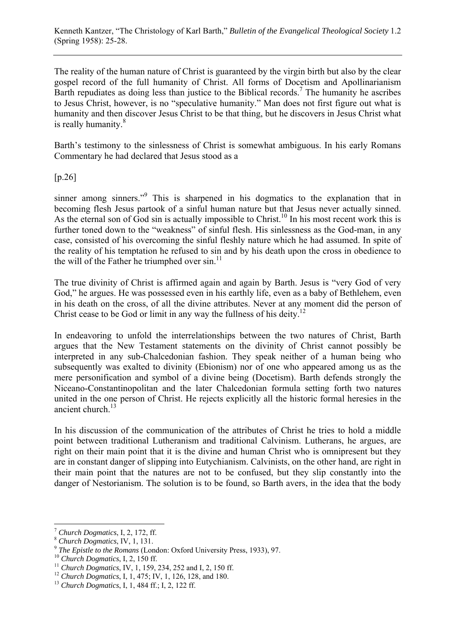The reality of the human nature of Christ is guaranteed by the virgin birth but also by the clear gospel record of the full humanity of Christ. All forms of Docetism and Apollinarianism Barth repudiates as doing less than justice to the Biblical records.<sup>7</sup> The humanity he ascribes to Jesus Christ, however, is no "speculative humanity." Man does not first figure out what is humanity and then discover Jesus Christ to be that thing, but he discovers in Jesus Christ what is really humanity.<sup>8</sup>

Barth's testimony to the sinlessness of Christ is somewhat ambiguous. In his early Romans Commentary he had declared that Jesus stood as a

[p.26]

sinner among sinners."<sup>9</sup> This is sharpened in his dogmatics to the explanation that in becoming flesh Jesus partook of a sinful human nature but that Jesus never actually sinned. As the eternal son of God sin is actually impossible to Christ.<sup>10</sup> In his most recent work this is further toned down to the "weakness" of sinful flesh. His sinlessness as the God-man, in any case, consisted of his overcoming the sinful fleshly nature which he had assumed. In spite of the reality of his temptation he refused to sin and by his death upon the cross in obedience to the will of the Father he triumphed over  $\sin^{11}$ 

The true divinity of Christ is affirmed again and again by Barth. Jesus is "very God of very God," he argues. He was possessed even in his earthly life, even as a baby of Bethlehem, even in his death on the cross, of all the divine attributes. Never at any moment did the person of Christ cease to be God or limit in any way the fullness of his deity.<sup>12</sup>

In endeavoring to unfold the interrelationships between the two natures of Christ, Barth argues that the New Testament statements on the divinity of Christ cannot possibly be interpreted in any sub-Chalcedonian fashion. They speak neither of a human being who subsequently was exalted to divinity (Ebionism) nor of one who appeared among us as the mere personification and symbol of a divine being (Docetism). Barth defends strongly the Niceano-Constantinopolitan and the later Chalcedonian formula setting forth two natures united in the one person of Christ. He rejects explicitly all the historic formal heresies in the ancient church. $^{13}$ 

In his discussion of the communication of the attributes of Christ he tries to hold a middle point between traditional Lutheranism and traditional Calvinism. Lutherans, he argues, are right on their main point that it is the divine and human Christ who is omnipresent but they are in constant danger of slipping into Eutychianism. Calvinists, on the other hand, are right in their main point that the natures are not to be confused, but they slip constantly into the danger of Nestorianism. The solution is to be found, so Barth avers, in the idea that the body

 $\overline{a}$ 

<sup>&</sup>lt;sup>7</sup> Church Dogmatics, I, 2, 172, ff.<br>
<sup>8</sup> Church Dogmatics, IV, 1, 131.<br>
<sup>9</sup> The Epistle to the Romans (London: Oxford University Press, 1933), 97.<br>
<sup>10</sup> Church Dogmatics, I, 2, 150 ff.<br>
<sup>11</sup> Church Dogmatics, IV, 1, 159,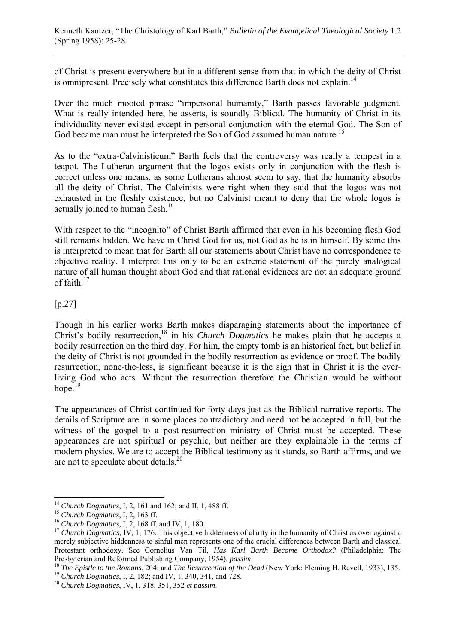of Christ is present everywhere but in a different sense from that in which the deity of Christ is omnipresent. Precisely what constitutes this difference Barth does not explain.<sup>14</sup>

Over the much mooted phrase "impersonal humanity," Barth passes favorable judgment. What is really intended here, he asserts, is soundly Biblical. The humanity of Christ in its individuality never existed except in personal conjunction with the eternal God. The Son of God became man must be interpreted the Son of God assumed human nature.<sup>15</sup>

As to the "extra-Calvinisticum" Barth feels that the controversy was really a tempest in a teapot. The Lutheran argument that the logos exists only in conjunction with the flesh is correct unless one means, as some Lutherans almost seem to say, that the humanity absorbs all the deity of Christ. The Calvinists were right when they said that the logos was not exhausted in the fleshly existence, but no Calvinist meant to deny that the whole logos is actually joined to human flesh.<sup>16</sup>

With respect to the "incognito" of Christ Barth affirmed that even in his becoming flesh God still remains hidden. We have in Christ God for us, not God as he is in himself. By some this is interpreted to mean that for Barth all our statements about Christ have no correspondence to objective reality. I interpret this only to be an extreme statement of the purely analogical nature of all human thought about God and that rational evidences are not an adequate ground of faith. $17$ 

## [p.27]

Though in his earlier works Barth makes disparaging statements about the importance of Christ's bodily resurrection,<sup>18</sup> in his *Church Dogmatics* he makes plain that he accepts a bodily resurrection on the third day. For him, the empty tomb is an historical fact, but belief in the deity of Christ is not grounded in the bodily resurrection as evidence or proof. The bodily resurrection, none-the-less, is significant because it is the sign that in Christ it is the everliving God who acts. Without the resurrection therefore the Christian would be without hope. $19$ 

The appearances of Christ continued for forty days just as the Biblical narrative reports. The details of Scripture are in some places contradictory and need not be accepted in full, but the witness of the gospel to a post-resurrection ministry of Christ must be accepted. These appearances are not spiritual or psychic, but neither are they explainable in the terms of modern physics. We are to accept the Biblical testimony as it stands, so Barth affirms, and we are not to speculate about details.<sup>20</sup>

 $\overline{a}$ 

<sup>&</sup>lt;sup>14</sup> Church Dogmatics, I, 2, 161 and 162; and II, 1, 488 ff.<br><sup>15</sup> Church Dogmatics, I, 2, 163 ff.<br><sup>16</sup> Church Dogmatics, I, 2, 168 ff. and IV, 1, 180.<br><sup>17</sup> Church Dogmatics, IV, 1, 176. This objective hiddenness of clarit merely subjective hiddenness to sinful men represents one of the crucial differences between Barth and classical Protestant orthodoxy. See Cornelius Van Til, *Has Karl Barth Become Orthodox?* (Philadelphia: The Presbyterian and Reformed Publishing Company, 1954), *passim*.<br><sup>18</sup> The Epistle to the Romans, 204; and The Resurrection of the Dead (New York: Fleming H. Revell, 1933), 135.<br><sup>19</sup> Church Dogmatics, I, 2, 182; and IV, 1, 3